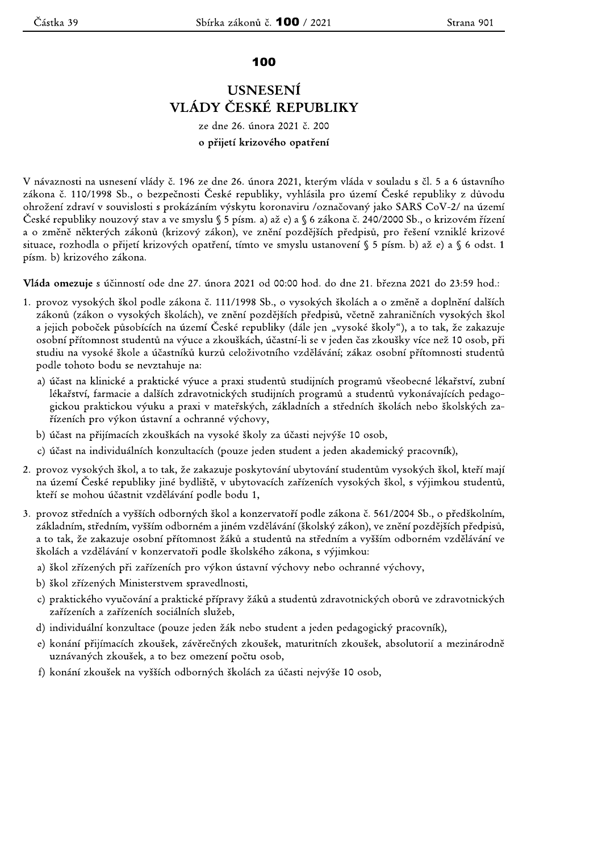## 100

## **USNESENÍ** VLÁDY ČESKÉ REPUBLIKY

## ze dne 26. února 2021 č. 200 o přijetí krizového opatření

V návaznosti na usnesení vlády č. 196 ze dne 26. února 2021, kterým vláda v souladu s čl. 5 a 6 ústavního zákona č. 110/1998 Sb., o bezpečnosti České republiky, vyhlásila pro území České republiky z důvodu ohrožení zdraví v souvislosti s prokázáním výskytu koronaviru /označovaný jako SARS CoV-2/ na území České republiky nouzový stav a ve smyslu § 5 písm. a) až e) a § 6 zákona č. 240/2000 Sb., o krizovém řízení a o změně některých zákonů (krizový zákon), ve znění pozdějších předpisů, pro řešení vzniklé krizové situace, rozhodla o přijetí krizových opatření, tímto ve smyslu ustanovení § 5 písm. b) až e) a § 6 odst. 1 písm. b) krizového zákona.

Vláda omezuje s účinností ode dne 27. února 2021 od 00:00 hod. do dne 21. března 2021 do 23:59 hod.:

- 1. provoz vysokých škol podle zákona č. 111/1998 Sb., o vysokých školách a o změně a doplnění dalších zákonů (zákon o vysokých školách), ve znění pozdějších předpisů, včetně zahraničních vysokých škol a jejich poboček působících na území České republiky (dále jen "vysoké školy"), a to tak, že zakazuje osobní přítomnost studentů na výuce a zkouškách, účastní-li se v jeden čas zkoušky více než 10 osob, při studiu na vysoké škole a účastníků kurzů celoživotního vzdělávání; zákaz osobní přítomnosti studentů podle tohoto bodu se nevztahuje na:
	- a) účast na klinické a praktické výuce a praxi studentů studijních programů všeobecné lékařství, zubní lékařství, farmacie a dalších zdravotnických studijních programů a studentů vykonávajících pedagogickou praktickou výuku a praxi v mateřských, základních a středních školách nebo školských zařízeních pro výkon ústavní a ochranné výchovy,
	- b) účast na přijímacích zkouškách na vysoké školy za účasti nejvýše 10 osob,
	- c) účast na individuálních konzultacích (pouze jeden student a jeden akademický pracovník),
- 2. provoz vysokých škol, a to tak, že zakazuje poskytování ubytování studentům vysokých škol, kteří mají na území České republiky jiné bydliště, v ubytovacích zařízeních vysokých škol, s výjimkou studentů, kteří se mohou účastnit vzdělávání podle bodu 1,
- 3. provoz středních a vyšších odborných škol a konzervatoří podle zákona č. 561/2004 Sb., o předškolním, základním, středním, vyšším odborném a jiném vzdělávání (školský zákon), ve znění pozdějších předpisů, a to tak, že zakazuje osobní přítomnost žáků a studentů na středním a vyšším odborném vzdělávání ve školách a vzdělávání v konzervatoři podle školského zákona, s výjimkou:
	- a) škol zřízených při zařízeních pro výkon ústavní výchovy nebo ochranné výchovy,
	- b) škol zřízených Ministerstvem spravedlnosti,
	- c) praktického vyučování a praktické přípravy žáků a studentů zdravotnických oborů ve zdravotnických zařízeních a zařízeních sociálních služeb,
	- d) individuální konzultace (pouze jeden žák nebo student a jeden pedagogický pracovník),
	- e) konání přijímacích zkoušek, závěrečných zkoušek, maturitních zkoušek, absolutorií a mezinárodně uznávaných zkoušek, a to bez omezení počtu osob,
	- f) konání zkoušek na vyšších odborných školách za účasti nejvýše 10 osob,